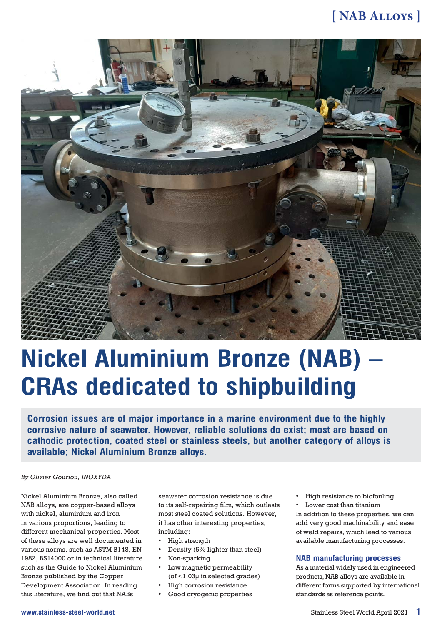### **[ NAB Alloys ]**



# **Nickel Aluminium Bronze (NAB) CRAs dedicated to shipbuilding**

**Corrosion issues are of major importance in a marine environment due to the highly corrosive nature of seawater. However, reliable solutions do exist; most are based on cathodic protection, coated steel or stainless steels, but another category of alloys is available; Nickel Aluminium Bronze alloys.**

#### *By Olivier Gouriou, INOXYDA*

Nickel Aluminium Bronze, also called NAB alloys, are copper-based alloys with nickel, aluminium and iron in various proportions, leading to different mechanical properties. Most of these alloys are well documented in various norms, such as ASTM B148, EN 1982, BS14000 or in technical literature such as the Guide to Nickel Aluminium Bronze published by the Copper Development Association. In reading this literature, we find out that NABs

seawater corrosion resistance is due to its self-repairing film, which outlasts most steel coated solutions. However, it has other interesting properties, including:

- High strength
- Density (5% lighter than steel)
- Non-sparking
- Low magnetic permeability (of <1.03µ in selected grades)
- High corrosion resistance
- Good cryogenic properties

• High resistance to biofouling Lower cost than titanium

In addition to these properties, we can add very good machinability and ease of weld repairs, which lead to various available manufacturing processes.

#### **NAB manufacturing processes**

As a material widely used in engineered products, NAB alloys are available in different forms supported by international standards as reference points.